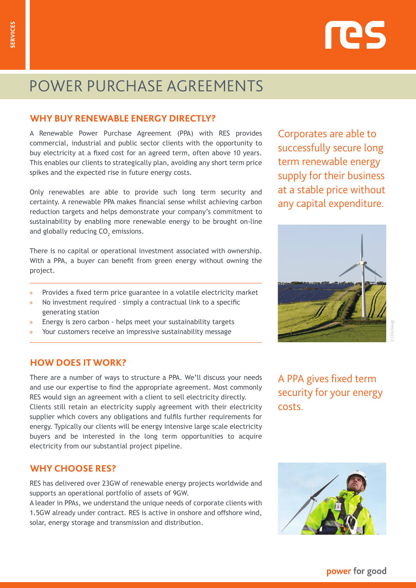# res

## POWER PURCHASE AGREEMENTS POWER PURCHASE AGREEMENTS

### **WHY BUY RENEWABLE ENERGY DIRECTLY?**

A Renewable Power Purchase Agreement (PPA) with RES provides commercial, industrial and public sector clients with the opportunity to buy electricity at a fixed cost for an agreed term, often above 10 years. This enables our clients to strategically plan, avoiding any short term price spikes and the expected rise in future energy costs.

Only renewables are able to provide such long term security and certainty. A renewable PPA makes financial sense whilst achieving carbon reduction targets and helps demonstrate your company's commitment to sustainability by enabling more renewable energy to be brought on-line and globally reducing  $\mathsf{CO}_2$  emissions.

There is no capital or operational investment associated with ownership. With a PPA, a buyer can benefit from green energy without owning the project.

- » Provides a fixed term price guarantee in a volatile electricity market
- » No investment required simply a contractual link to a specific generating station
- » Energy is zero carbon helps meet your sustainability targets
- Your customers receive an impressive sustainability message

#### **HOW DOES IT WORK?**

There are a number of ways to structure a PPA. We'll discuss your needs and use our expertise to find the appropriate agreement. Most commonly RES would sign an agreement with a client to sell electricity directly. Clients still retain an electricity supply agreement with their electricity supplier which covers any obligations and fulfils further requirements for energy. Typically our clients will be energy intensive large scale electricity buyers and be interested in the long term opportunities to acquire electricity from our substantial project pipeline.

#### **WHY CHOOSE RES?**

RES has delivered over 23GW of renewable energy projects worldwide and supports an operational portfolio of assets of 9GW.

A leader in PPAs, we understand the unique needs of corporate clients with 1.5GW already under contract. RES is active in onshore and offshore wind, solar, energy storage and transmission and distribution.

Corporates are able to successfully secure long term renewable energy supply for their business at a stable price without any capital expenditure.



© LDA Design

A PPA gives fixed term security for your energy costs.